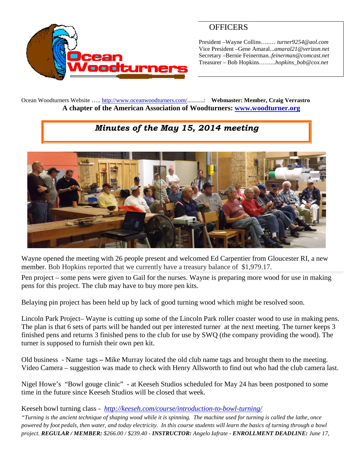

## **OFFICERS**

President –Wayne Collins…..… *turner9254@aol.com* Vice President –Gene Amaral...*amaral21@verizon.net* Secretary –Bernie Feinerman*..feinerman@comcast.net* Treasurer – Bob Hopkins……...*hopkins\_bob@cox.net*

Ocean Woodturners Website ….. <http://www.oceanwoodturners.com/>...........: **Webmaster: Member, Craig Verrastro A chapter of the American Association of Woodturners: [www.woodturner.org](http://www.woodturner.org/)**

## *Minutes of the May 15, 2014 meeting*



Wayne opened the meeting with 26 people present and welcomed Ed Carpentier from Gloucester RI, a new member. Bob Hopkins reported that we currently have a treasury balance of \$1,979.17.

Pen project – some pens were given to Gail for the nurses. Wayne is preparing more wood for use in making pens for this project. The club may have to buy more pen kits.

Belaying pin project has been held up by lack of good turning wood which might be resolved soon.

Lincoln Park Project– Wayne is cutting up some of the Lincoln Park roller coaster wood to use in making pens. The plan is that 6 sets of parts will be handed out per interested turner at the next meeting. The turner keeps 3 finished pens and returns 3 finished pens to the club for use by SWQ (the company providing the wood). The turner is supposed to furnish their own pen kit.

Old business - Name tags **–** Mike Murray located the old club name tags and brought them to the meeting. Video Camera – suggestion was made to check with Henry Allsworth to find out who had the club camera last.

Nigel Howe's "Bowl gouge clinic" - at Keeseh Studios scheduled for May 24 has been postponed to some time in the future since Keeseh Studios will be closed that week.

Keeseh bowl turning class - *<http://keeseh.com/course/introduction-to-bowl-turning/>*

*"Turning is the ancient technique of shaping wood while it is spinning. The machine used for turning is called the lathe, once powered by foot pedals, then water, and today electricity. In this course students will learn the basics of turning through a bowl project. REGULAR / MEMBER: \$266.00 / \$239.40 - INSTRUCTOR: Angelo Iafrate - ENROLLMENT DEADLINE: June 17,*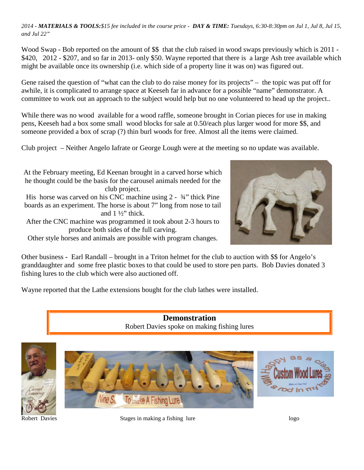*2014 - MATERIALS & TOOLS:\$15 fee included in the course price - DAY & TIME: Tuesdays, 6:30-8:30pm on Jul 1, Jul 8, Jul 15, and Jul 22"*

Wood Swap - Bob reported on the amount of  $\$  that the club raised in wood swaps previously which is 2011 -\$420, 2012 - \$207, and so far in 2013- only \$50. Wayne reported that there is a large Ash tree available which might be available once its ownership (i.e. which side of a property line it was on) was figured out.

Gene raised the question of "what can the club to do raise money for its projects" – the topic was put off for awhile, it is complicated to arrange space at Keeseh far in advance for a possible "name" demonstrator. A committee to work out an approach to the subject would help but no one volunteered to head up the project..

While there was no wood available for a wood raffle, someone brought in Corian pieces for use in making pens, Keeseh had a box some small wood blocks for sale at 0.50/each plus larger wood for more \$\$, and someone provided a box of scrap (?) thin burl woods for free. Almost all the items were claimed.

Club project – Neither Angelo Iafrate or George Lough were at the meeting so no update was available.

At the February meeting, Ed Keenan brought in a carved horse which he thought could be the basis for the carousel animals needed for the club project.

His horse was carved on his CNC machine using 2 -  $\frac{3}{4}$ " thick Pine boards as an experiment. The horse is about 7" long from nose to tail and 1 ½" thick.

After the CNC machine was programmed it took about 2-3 hours to produce both sides of the full carving.

Other style horses and animals are possible with program changes.



Other business **-** Earl Randall – brought in a Triton helmet for the club to auction with \$\$ for Angelo's granddaughter and some free plastic boxes to that could be used to store pen parts. Bob Davies donated 3 fishing lures to the club which were also auctioned off.

Wayne reported that the Lathe extensions bought for the club lathes were installed.

**Demonstration** Robert Davies spoke on making fishing lures



Robert Davies **Stages in making a fishing lure** logo logo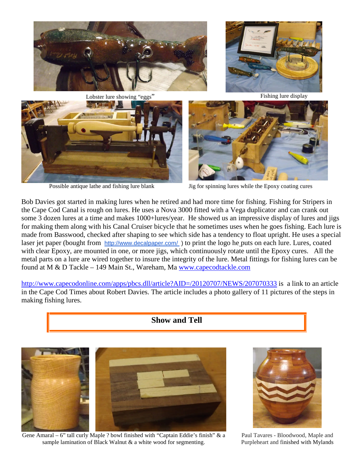











Possible antique lathe and fishing lure blank Jig for spinning lures while the Epoxy coating cures

Bob Davies got started in making lures when he retired and had more time for fishing. Fishing for Stripers in the Cape Cod Canal is rough on lures. He uses a Nova 3000 fitted with a Vega duplicator and can crank out some 3 dozen lures at a time and makes 1000+lures/year. He showed us an impressive display of lures and jigs for making them along with his Canal Cruiser bicycle that he sometimes uses when he goes fishing. Each lure is made from Basswood, checked after shaping to see which side has a tendency to float upright. He uses a special laser jet paper (bought from <http://www.decalpaper.com/> ) to print the logo he puts on each lure. Lures, coated with clear Epoxy, are mounted in one, or more jigs, which continuously rotate until the Epoxy cures. All the metal parts on a lure are wired together to insure the integrity of the lure. Metal fittings for fishing lures can be found at M & D Tackle – 149 Main St., Wareham, Ma [www.capecodtackle.com](http://www.capecodtackle.com/)

<http://www.capecodonline.com/apps/pbcs.dll/article?AID=/20120707/NEWS/207070333> is a link to an article in the Cape Cod Times about Robert Davies. The article includes a photo gallery of 11 pictures of the steps in making fishing lures.





Gene Amaral – 6" tall curly Maple ? bowl finished with "Captain Eddie's finish" & a sample lamination of Black Walnut & a white wood for segmenting.



Paul Tavares - Bloodwood, Maple and Purpleheart and finished with Mylands